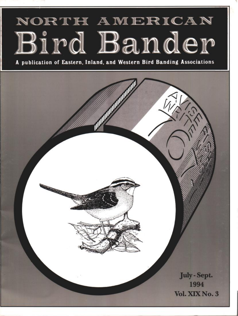# **NORTH AMERICAN** Bird Bander

**A publication of Eastern, Inland, and Western Bird Banding Associations**